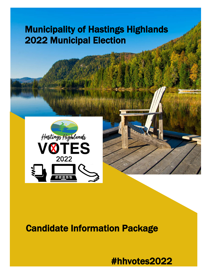# Municipality of Hastings Highlands 2022 Municipal Election





# Candidate Information Package

#hhvotes2022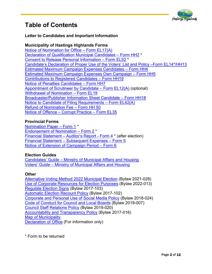

# **Table of Contents**

# **Letter to Candidates and Important Information**

# **Municipality of Hastings Highlands Forms**

[Notice of Nomination for Office – Form EL17\(A\)](https://hastingshighlands.ca/wp-content/uploads/2022/05/EL17A-Notice-of-Nom-HH.pdf) [Declaration of Qualification Municipal Candidates – Form HH2](https://hastingshighlands.ca/wp-content/uploads/2022/02/HH2-Dec-of-Qual-Mun-Candidates-1.pdf) \* [Consent to Release Personal Information – Form EL52](https://hastingshighlands.ca/wp-content/uploads/2022/04/Form-EL52-Consent-to-Release-Personal-Information.pdf) \* Candidate's Declaration of Proper Use of the Voters' List [and Policy –Form EL14\\*/HH13](https://hastingshighlands.ca/wp-content/uploads/2022/05/EL14-Candidates-Declaration-of-Proper-Use-of-the-Voters-List-1.pdf)  [Estimated Maximum Campaign Expenses Candidates – Form HH4](https://hastingshighlands.ca/wp-content/uploads/2022/05/HH4-Est-Max-Campaign-Exp-Cand.pdf) [Estimated Maximum Campaign Expenses Own Campaign – Form HH5](https://hastingshighlands.ca/wp-content/uploads/2022/05/HH5-Est-Max.-Campaign-Contributions-Own-Campaign.pdf) Contributions [to Registered Candidates – Form HH19](https://hastingshighlands.ca/wp-content/uploads/2022/05/HH19-Contributions-to-Registered-Candidates.pdf) Notice of Penalties [Candidates – Form HH7](https://hastingshighlands.ca/wp-content/uploads/2022/05/HH7-Notice-of-Penalties-Candidate.pdf) [Appointment of Scrutineer by Candidate – Form EL12\(A\)](https://hastingshighlands.ca/wp-content/uploads/2022/04/EL-12A-APPOINTMENT-OF-SCRUTINEER-BY-CANDIDATE.pdf) (optional) [Withdrawal of Nomination – Form EL19](https://hastingshighlands.ca/wp-content/uploads/2022/04/Form-EL19-Withdrawal-of-Nomination.pdf) [Broadcaster/Publisher Information Sheet Candidate – Form HH18](https://hastingshighlands.ca/wp-content/uploads/2022/05/HH18-Broadcaster-Publisher-Information-Sheet-Cand..pdf) [Notice to Candidate of Filing Requirements – Form EL42\(A\)](https://hastingshighlands.ca/wp-content/uploads/2022/04/EL42A-Notice-to-Candidates-of-filing-Requirements.pdf) [Refund of Nomination Fee – Form HH 50](https://hastingshighlands.ca/wp-content/uploads/2022/05/HH50-Refund-Nom-Fee.pdf)  [Notice of Offence – Corrupt Practice – Form EL35](https://hastingshighlands.ca/wp-content/uploads/2022/04/EL35-Notice-of-Offence-Corrupt-Practice-.pdf)

#### **Provincial Forms**

[Nomination Paper – Form 1](https://hastingshighlands.ca/wp-content/uploads/2022/04/PR-FORM-1-Nomination-Paper-1.pdf) \* [Endorsement of Nomination – Form 2](https://www.forms.ssb.gov.on.ca/mbs/ssb/forms/ssbforms.nsf/GetFileAttach/017-2233E%7E1/$File/2233E_Form2.pdf) \* Financial Statement – Auditor's Report - Form 4<sup>\*</sup> (after election) [Financial Statement – Subsequent Expenses – Form 5](https://www.forms.ssb.gov.on.ca/mbs/ssb/forms/ssbforms.nsf/GetFileAttach/017-9504P%7E2/$File/9504P_Form5E.pdf)  [Notice of Extension of Campaign Period – Form 6](https://www.forms.ssb.gov.on.ca/mbs/ssb/forms/ssbforms.nsf/GetFileAttach/017-10550P%7E2/$File/10550P_Form6E.pdf)

#### **Election Guides**

[Candidates' Guide – Ministry of Municipal Affairs and Housing](https://www.ontario.ca/files/2022-03/mmah-2022-candidates-guide-en-2022-03-31.pdf) [Voters' Guide – Ministry of Municipal Affairs and Housing](https://www.ontario.ca/files/2022-03/mmah-2022-voters-guide-en-2022-03-31.pdf)

#### **Other**

[Alternative Voting Method 2022 Municipal Election](https://hastingshighlands.ca/wp-content/uploads/2022/04/2021-028-Alternative-Voting-Method-2022-Municipal-Election.pdf) (Bylaw 2021-028) [Use of Corporate Resources for Election Purposes](https://hastingshighlands.ca/wp-content/uploads/2022/04/2022-013-Use-of-Corporate-Resources-for-Election-Purposes.pdf) (Bylaw 2022-013) [Regulate Election Signs](https://hastingshighlands.ca/wp-content/uploads/2022/04/2017-103-Regulate-Election-Signs.pdf) (Bylaw 2017-103) [Automatic Election Recount Policy](https://hastingshighlands.ca/wp-content/uploads/2022/04/2017-102-Automatic-Election-Recount-Policy.pdf) (Bylaw 2017-102) [Corporate and Personal Use of Social Media Policy](https://hastingshighlands.ca/wp-content/uploads/2022/04/2018-024-Corporate-and-Personal-Use-of-Social-Media-Policy.pdf) (Bylaw 2018-024) [Code of Conduct for Council and Local Boards](https://hastingshighlands.ca/wp-content/uploads/2022/04/2019-007-Code-of-Conduct-for-Council-and-Local-Boards.pdf) (Bylaw 2019-007) [Council Staff Relations Policy](https://hastingshighlands.ca/wp-content/uploads/2022/04/2019-020-Council-Staff-Relations-Policy.pdf) (Bylaw 2019-020) [Accountability and Transparency Policy](https://hastingshighlands.ca/wp-content/uploads/2022/04/2017-016-Accountability-and-Transparency-Policy.pdf) (Bylaw 2017-016) [Map of Municipality](https://hastingshighlands.ca/wp-content/uploads/2022/04/Election-Map-Legal.pdf)  **[Declaration of Office](https://hastingshighlands.ca/wp-content/uploads/2022/04/Declaration-of-Office.pdf) (For information only)** 

\* Form to be returned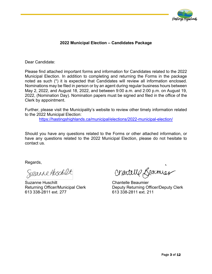

# **2022 Municipal Election – Candidates Package**

Dear Candidate:

Please find attached important forms and information for Candidates related to the 2022 Municipal Election. In addition to completing and returning the Forms in the package noted as such (\*) it is expected that Candidates will review all information enclosed. Nominations may be filed in person or by an agent during regular business hours between May 2, 2022, and August 18, 2022, and between 9:00 a.m. and 2:00 p.m. on August 19, 2022, (Nomination Day). Nomination papers must be signed and filed in the office of the Clerk by appointment.

Further, please visit the Municipality's website to review other timely information related to the 2022 Municipal Election:

<https://hastingshighlands.ca/municipal/elections/2022-municipal-election/>

Should you have any questions related to the Forms or other attached information, or have any questions related to the 2022 Municipal Election, please do not hesitate to contact us.

Regards,

613 338-2811 ext. 277 613 338-2811 ext. 211

Suzanne Huschilt Chantelle Beaumier

Returning Officer/Municipal Clerk Deputy Returning Officer/Deputy Clerk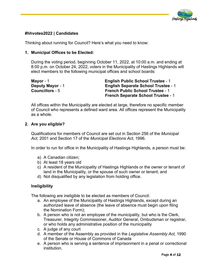

# **#hhvotes2022 | Candidates**

Thinking about running for Council? Here's what you need to know:

#### **1. Municipal Offices to be Elected:**

During the voting period, beginning October 11, 2022, at 10:00 a.m. and ending at 8:00 p.m. on October 24, 2022, voters in the Municipality of Hastings Highlands will elect members to the following municipal offices and school boards:

| Mayor - $1$             | <b>English Public School Trustee - 1</b>   |
|-------------------------|--------------------------------------------|
| <b>Deputy Mayor - 1</b> | <b>English Separate School Trustee - 1</b> |
| <b>Councillors</b> - 5  | <b>French Public School Trustee - 1</b>    |
|                         | <b>French Separate School Trustee - 1</b>  |

All offices within the Municipality are elected at large, therefore no specific member of Council who represents a defined ward area. All offices represent the Municipality as a whole.

#### **2. Are you eligible?**

Qualifications for members of Council are set out in Section 256 of the *Municipal Act,* 2001 and Section 17 of the *Municipal Elections Act*, 1996.

In order to run for office in the Municipality of Hastings Highlands, a person must be:

- a) A Canadian citizen;
- b) At least 18 years old
- c) A resident of the Municipality of Hastings Highlands or the owner or tenant of land in the Municipality, or the spouse of such owner or tenant; and
- d) Not disqualified by any legislation from holding office.

#### **Ineligibility**

The following are ineligible to be elected as members of Council:

- a. An employee of the Municipality of Hastings Highlands, except during an authorized leave of absence (the leave of absence must begin upon filing the Nomination Form);
- b. A person who is not an employee of the municipality, but who is the Clerk, Treasurer, Integrity Commissioner, Auditor General, Ombudsman or registrar, or who holds any administrative position of the municipality
- c. A judge of any court
- d. A member of the Assembly as provided in the *Legislative Assembly Act,* 1990 of the Senate or House of Commons of Canada
- e. A person who is serving a sentence of imprisonment in a penal or correctional institution.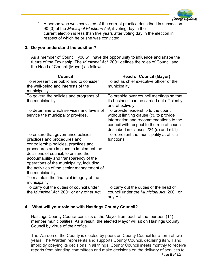

f. A person who was convicted of the corrupt practice described in subsection 90 (3) of the *Municipal Elections Act*, if voting day in the current election is less than five years after voting day in the election in respect of which he or she was convicted.

# **3. Do you understand the position?**

As a member of Council, you will have the opportunity to influence and shape the future of the Township. The *Municipal Act*, 2001 defines the roles of Council and the Head of Council (Mayor) as follows:

| Council                                                                                                                                                                                                                                                                                                                                                    | <b>Head of Council (Mayor)</b>                                                                                                                                                                                      |
|------------------------------------------------------------------------------------------------------------------------------------------------------------------------------------------------------------------------------------------------------------------------------------------------------------------------------------------------------------|---------------------------------------------------------------------------------------------------------------------------------------------------------------------------------------------------------------------|
| To represent the public and to consider<br>the well-being and interests of the<br>municipality                                                                                                                                                                                                                                                             | To act as chief executive officer of the<br>municipality.                                                                                                                                                           |
| To govern the policies and programs of<br>the municipality.                                                                                                                                                                                                                                                                                                | To preside over council meetings so that<br>its business can be carried out efficiently<br>and effectively.                                                                                                         |
| To determine which services and levels of<br>service the municipality provides.                                                                                                                                                                                                                                                                            | To provide leadership to the council<br>without limiting clause (c), to provide<br>information and recommendations to the<br>council with respect to the role of council<br>described in clauses 224 (d) and (d.1). |
| To ensure that governance policies,<br>practices and procedures and<br>controllership policies, practices and<br>procedures are in place to implement the<br>decisions of council; to ensure the<br>accountability and transparency of the<br>operations of the municipality, including<br>the activities of the senior management of<br>the municipality. | To represent the municipality at official<br>functions.                                                                                                                                                             |
| To maintain the financial integrity of the<br>municipality                                                                                                                                                                                                                                                                                                 |                                                                                                                                                                                                                     |
| To carry out the duties of council under<br>the Municipal Act, 2001 or any other Act.                                                                                                                                                                                                                                                                      | To carry out the duties of the head of<br>council under the Municipal Act, 2001 or<br>any Act.                                                                                                                      |

# **4. What will your role be with Hastings County Council?**

Hastings County Council consists of the Mayor from each of the fourteen (14) member municipalities. As a result, the elected Mayor will sit on Hastings County Council by virtue of their office.

The Warden of the County is elected by peers on County Council for a term of two years. The Warden represents and supports County Council, declaring its will and implicitly obeying its decisions in all things. County Council meets monthly to receive reports from standing committees and make decisions on the delivery of services to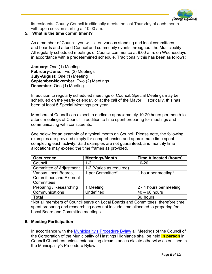

its residents. County Council traditionally meets the last Thursday of each month with open session starting at 10:00 am.

# **5. What is the time commitment?**

As a member of Council, you will sit on various standing and local committees and boards and attend Council and community events throughout the Municipality. All regularly scheduled meetings of Council commence at 9:00 a.m. on Wednesdays in accordance with a predetermined schedule. Traditionally this has been as follows:

**January:** One (1) Meeting **February-June:** Two (2) Meetings **July-August:** One (1) Meeting **September-November:** Two (2) Meetings **December:** One (1) Meeting

In addition to regularly scheduled meetings of Council, Special Meetings may be scheduled on the yearly calendar, or at the call of the Mayor. Historically, this has been at least 5 Special Meetings per year.

Members of Council can expect to dedicate approximately 10-20 hours per month to attend meetings of Council in addition to time spent preparing for meetings and communicating with constituents.

See below for an example of a typical month on Council. Please note, the following examples are provided simply for comprehension and approximate time spent completing each activity. Said examples are not guaranteed, and monthly time allocations may exceed the time frames as provided.

| <b>Occurrence</b>                                                     | <b>Meetings/Month</b>    | <b>Time Allocated (hours)</b> |
|-----------------------------------------------------------------------|--------------------------|-------------------------------|
| Council                                                               | $1 - 2$                  | $10 - 20$                     |
| <b>Committee of Adjustment</b>                                        | 1-2 (Varies as required) |                               |
| Various Local Boards,<br><b>Committees and External</b><br>Committees | 1 per Committee*         | 1 hour per meeting*           |
| Preparing / Researching                                               | 1 Meeting                | 2 - 4 hours per meeting       |
| Communications                                                        | <b>Undefined</b>         | $40 - 60$ hours               |
| <b>Total</b>                                                          |                          | 86 hours                      |

\*Not all members of Council serve on Local Boards and Committees, therefore time spent preparing and researching does not include time allocated to preparing for Local Board and Committee meetings.

#### **6. Meeting Participation**

In accordance with the [Municipality's Procedure Bylaw](https://hastingshighlands.ca/wp-content/uploads/2021/04/2021-018-Procedure-Bylaw-1.pdf) all Meetings of the Council of the Corporation of the Municipality of Hastings Highlands shall be held **in person** in Council Chambers unless extenuating circumstances dictate otherwise as outlined in the Municipality's Procedure Bylaw.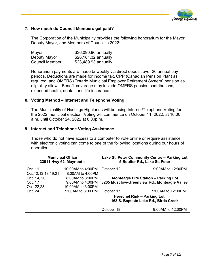

## **7. How much do Council Members get paid?**

The Corporation of the Municipality provides the following honorarium for the Mayor, Deputy Mayor, and Members of Council in 2022:

| Mayor                 | \$36,090.96 annually |
|-----------------------|----------------------|
| Deputy Mayor          | \$26,181.32 annually |
| <b>Council Member</b> | \$23,489.93 annually |

Honorarium payments are made bi-weekly via direct deposit over 26 annual pay periods. Deductions are made for income tax, CPP (Canadian Pension Plan) as required, and OMERS (Ontario Municipal Employer Retirement System) pension as eligibility allows. Benefit coverage may include OMERS pension contributions, extended health, dental, and life insurance.

#### **8. Voting Method – Internet and Telephone Voting**

The Municipality of Hastings Highlands will be using Internet/Telephone Voting for the 2022 municipal election. Voting will commence on October 11, 2022, at 10:00 a.m. until October 24, 2022 at 8:00p.m.

#### **9. Internet and Telephone Voting Assistance**

Those who do not have access to a computer to vote online or require assistance with electronic voting can come to one of the following locations during our hours of operation:

|                         | <b>Municipal Office</b><br>33011 Hwy 62, Maynooth |                                                                             | Lake St. Peter Community Centre - Parking Lot<br>5 Boulter Rd., Lake St. Peter |
|-------------------------|---------------------------------------------------|-----------------------------------------------------------------------------|--------------------------------------------------------------------------------|
| Oct. 11                 | 10:00AM to 4:00PM                                 | October 12                                                                  | 9:00AM to 12:00PM                                                              |
| Oct. 12, 13, 18, 19, 21 | 8:00AM to 4:00PM                                  |                                                                             |                                                                                |
| Oct. 14, 20             | 8:00AM to 8:00PM                                  |                                                                             | <b>Monteagle Fire Station - Parking Lot</b>                                    |
| Oct. 17                 | 9:00AM to 4:00PM                                  |                                                                             | 3205 Musclow-Greenview Rd., Monteagle Valley                                   |
| Oct. 22,23              | 10:00AM to 3:00PM                                 |                                                                             |                                                                                |
| Oct. 24                 | 9:00AM to 8:00 PM                                 | October 17                                                                  | 9:00AM to 12:00PM                                                              |
|                         |                                                   | <b>Herschel Rink - Parking Lot</b><br>168 S. Baptiste Lake Rd., Birds Creek |                                                                                |
|                         |                                                   | October 18                                                                  | 9:00AM to 12:00PM                                                              |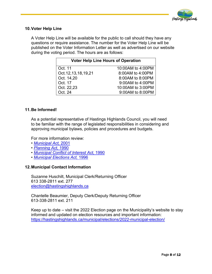

#### **10.Voter Help Line**

A Voter Help Line will be available for the public to call should they have any questions or require assistance. The number for the Voter Help Line will be published on the Voter Information Letter as well as advertised on our website during the voting period. The hours are as follows:

| <b>Voter Help Line Hours of Operation</b> |                   |  |
|-------------------------------------------|-------------------|--|
| Oct. 11                                   | 10:00AM to 4:00PM |  |
| Oct. 12, 13, 18, 19, 21                   | 8:00AM to 4:00PM  |  |
| Oct. 14,20                                | 8:00AM to 8:00PM  |  |
| Oct. 17                                   | 9:00AM to 4:00PM  |  |
| Oct. 22,23                                | 10:00AM to 3:00PM |  |
| Oct. 24                                   | 9:00AM to 8:00PM  |  |

#### **11.Be Informed!**

As a potential representative of Hastings Highlands Council, you will need to be familiar with the range of legislated responsibilities in considering and approving municipal bylaws, policies and procedures and budgets.

For more information review:

- *• [Municipal Act,](https://www.ontario.ca/laws/statute/01m25)* 2001
- *• [Planning Act,](https://www.ontario.ca/laws/statute/90p13)* 1990
- *• [Municipal Conflict of Interest Act,](https://www.ontario.ca/laws/statute/90m50)* 1990
- *• [Municipal Elections Act,](https://www.ontario.ca/laws/statute/96m32)* 1996

#### **12.Municipal Contact Information**

Suzanne Huschilt, Municipal Clerk/Returning Officer 613 338-2811 ext. 277 [election@hastingshighlands.ca](mailto:election@hastingshighlands.ca) 

Chantelle Beaumier, Deputy Clerk/Deputy Returning Officer 613-338-2811 ext. 211

Keep up to date – visit the 2022 Election page on the Municipality's website to stay informed and updated on election resources and important information: <https://hastingshighlands.ca/municipal/elections/2022-municipal-election/>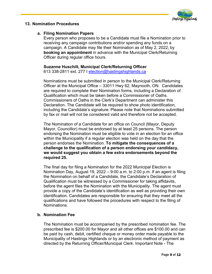

#### **13. Nomination Procedures**

### **a. Filing Nomination Papers**

Every person who proposes to be a Candidate must file a Nomination prior to receiving any campaign contributions and/or spending any funds on a campaign. A Candidate may file their Nomination as of May 2, 2022, by **booking an appointment** in advance with the Municipal Clerk/Returning Officer during regular office hours.

# **Suzanne Huschilt, Municipal Clerk/Returning Officer**

613 338-2811 ext. 277 I [election@hastingshighlands.ca](mailto:election@hastingshighlands.ca)

Nominations must be submitted in person to the Municipal Clerk/Returning Officer at the Municipal Office – 33011 Hwy 62, Maynooth, ON. Candidates are required to complete their Nomination forms, including a Declaration of Qualification which must be taken before a Commissioner of Oaths. Commissioners of Oaths in the Clerk's Department can administer this Declaration. The Candidate will be required to show photo identification, including the Candidate's signature. Please note that Nominations submitted by fax or mail will not be considered valid and therefore not be accepted.

The Nomination of a Candidate for an office on Council (Mayor, Deputy Mayor, Councillor) must be endorsed by at least 25 persons. The person endorsing the Nomination must be eligible to vote in an election for an office within the Municipality if a regular election was held on the day that the person endorses the Nomination. **To mitigate the consequences of a challenge to the qualification of a person endorsing your candidacy, we would suggest you obtain a few extra endorsements beyond the required 25.** 

The final day for filing a Nomination for the 2022 Municipal Election is Nomination Day, August 19, 2022 – 9:00 a.m. to 2:00 p.m. If an agent is filing the Nomination on behalf of a Candidate, the Candidate's Declaration of Qualification must be witnessed by a Commissioner for taking affidavits, before the agent files the Nomination with the Municipality. The agent must provide a copy of the Candidate's identification as well as providing their own identification. Candidates are responsible for ensuring that they meet all the qualifications and have followed the procedures with respect to the filing of **Nominations** 

# **b. Nomination Fee**

The Nomination must be accompanied by the prescribed nomination fee. The prescribed fee is \$200.00 for Mayor and all other offices are \$100.00 and can be paid by cash, debit, certified cheque or money order made payable to the Municipality of Hastings Highlands or by an electronic method of payment as directed by the Returning Officer/Municipal Clerk. Important Note - The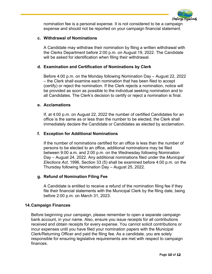

nomination fee is a personal expense. It is not considered to be a campaign expense and should not be reported on your campaign financial statement.

### **c. Withdrawal of Nominations**

A Candidate may withdraw their nomination by filing a written withdrawal with the Clerks Department before 2:00 p.m. on August 19, 2022. The Candidate will be asked for identification when filing their withdrawal.

### **d. Examination and Certification of Nominations by Clerk**

Before 4:00 p.m. on the Monday following Nomination Day – August 22, 2022 – the Clerk shall examine each nomination that has been filed to accept (certify) or reject the nomination. If the Clerk rejects a nomination, notice will be provided as soon as possible to the individual seeking nomination and to all Candidates. The Clerk's decision to certify or reject a nomination is final.

#### **e. Acclamations**

If, at 4:00 p.m. on August 22, 2022 the number of certified Candidates for an office is the same as or less than the number to be elected, the Clerk shall immediately declare the Candidate or Candidates as elected by acclamation.

#### **f. Exception for Additional Nominations**

If the number of nominations certified for an office is less than the number of persons to be elected to an office, additional nominations may be filed between 9:00 a.m. and 2:00 p.m. on the Wednesday following Nomination Day – August 24, 2022. Any additional nominations filed under the *Municipal Elections Act*, 1996, Section 33 (5) shall be examined before 4:00 p.m. on the Thursday following Nomination Day – August 25, 2022.

#### **g. Refund of Nomination Filing Fee**

A Candidate is entitled to receive a refund of the nomination filing fee if they file their financial statements with the Municipal Clerk by the filing date, being before 2:00 p.m. on March 31, 2023.

#### **14.Campaign Finances**

Before beginning your campaign, please remember to open a separate campaign bank account, in your name. Also, ensure you issue receipts for all contributions received and obtain receipts for every expense. You cannot solicit contributions or incur expenses until you have filed your nomination papers with the Municipal Clerk/Returning Officer and paid the filing fee. As a candidate, you are solely responsible for ensuring legislative requirements are met with respect to campaign finances.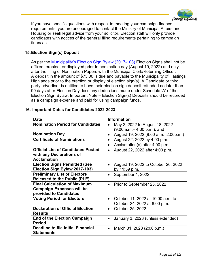

If you have specific questions with respect to meeting your campaign finance requirements, you are encouraged to contact the Ministry of Municipal Affairs and Housing or seek legal advice from your solicitor. Election staff will only provide candidates with notices of the general filing requirements pertaining to campaign finances.

# **15.Election Sign(s) Deposit**

As per the [Municipality's Election Sign Bylaw \(2017-103\)](https://hastingshighlands.ca/wp-content/uploads/2021/12/2017-103.Election.Sign_.Bylaw_.pdf) Election Signs shall not be affixed, erected, or displayed prior to nomination day (August 19, 2022) and only after the filing of Nomination Papers with the Municipal Clerk/Returning Officer. A deposit in the amount of \$75.00 is due and payable to the Municipality of Hastings Highlands prior to the erection or display of election sign(s). A Candidate or third party advertiser is entitled to have their election sign deposit refunded no later than 90 days after Election Day, less any deductions made under Schedule 'A' of the Election Sign Bylaw. Important Note – Election Sign(s) Deposits should be recorded as a campaign expense and paid for using campaign funds.

| <b>Date</b>                               | <b>Information</b>                                  |
|-------------------------------------------|-----------------------------------------------------|
| <b>Nomination Period for Candidates</b>   | May 2, 2022 to August 18, 2022<br>$\bullet$         |
|                                           | $(9:00 a.m - 4:30 p.m.);$ and                       |
| <b>Nomination Day</b>                     | August 19, 2022 (9:00 a.m. - 2:00p.m.)<br>$\bullet$ |
| <b>Certificate of Nominations</b>         | August 22, 2022 by 4:00 p.m.<br>$\bullet$           |
|                                           | Acclamation(s) after $4:00$ p.m.<br>$\bullet$       |
| <b>Official List of Candidates Posted</b> | August 22, 2022 after 4:00 p.m.                     |
| with any Declarations of                  |                                                     |
| <b>Acclamation</b>                        |                                                     |
| <b>Election Signs Permitted (See</b>      | August 19, 2022 to October 26, 2022<br>$\bullet$    |
| Election Sign Bylaw 2017-103)             | by 11:59 p.m.                                       |
| <b>Preliminary List of Electors</b>       | September 1, 2022<br>$\bullet$                      |
| <b>Released to the Public (PLE)</b>       |                                                     |
| <b>Final Calculation of Maximum</b>       | Prior to September 25, 2022<br>٠                    |
| <b>Campaign Expenses will be</b>          |                                                     |
| provided to Candidates                    |                                                     |
| <b>Voting Period for Electors</b>         | October 11, 2022 at 10:00 a.m. to<br>$\bullet$      |
|                                           | October 24, 2022 at 8:00 p.m.                       |
| <b>Declaration of Official Election</b>   | October 25, 2022<br>$\bullet$                       |
| <b>Results</b>                            |                                                     |
| <b>End of the Election Campaign</b>       | January 3. 2023 (unless extended)<br>$\bullet$      |
| <b>Period</b>                             |                                                     |
| <b>Deadline to file initial Financial</b> | March 31, 2023 (2:00 p.m.)<br>$\bullet$             |
| <b>Statements</b>                         |                                                     |

#### **16. Important Dates for Candidates 2022-2023**